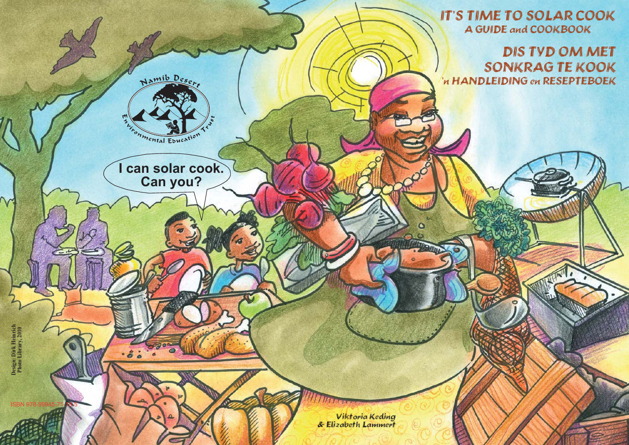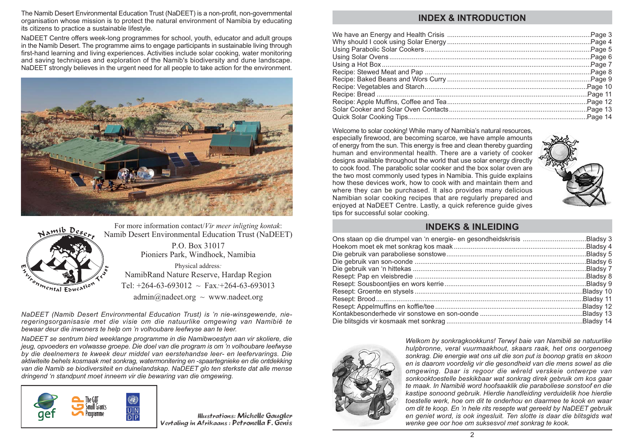The Namib Desert Environmental Education Trust (NaDEET) is a non-profit, non-governmental organisation whose mission is to protect the natural environment of Namibia by educating its citizens to practice a sustainable lifestyle.

NaDEET Centre offers week-long programmes for school, youth, educator and adult groups in the Namib Desert. The programme aims to engage participants in sustainable living through first-hand learning and living experiences. Activities include solar cooking, water monitoring and saving techniques and exploration of the Namib's biodiversity and dune landscape. NaDEET strongly believes in the urgent need for all people to take action for the environment.





For more information contact/*Vir meer inligting kontak*: Namib Desert Environmental Education Trust (NaDEET) P.O. Box 31017 Pioniers Park, Windhoek, Namibia Physical address: NamibRand Nature Reserve, Hardap Region

Tel:  $+264-63-693012 \sim$  Fax:  $+264-63-693013$ 

 $\text{admin}(\widehat{a})$  nadeet.org ~ www.nadeet.org

NaDEET (Namib Desert Environmental Education Trust) is 'n nie-winsgewende, nieregeringsorganisasie met die visie om die natuurlike omgewing van Namibië te bewaar deur die inwoners te help om 'n volhoubare leefwyse aan te leer.

NaDEET se sentrum bied weeklange programme in die Namibwoestyn aan vir skoliere, die jeug, opvoeders en volwasse groepe. Die doel van die program is om 'n volhoubare leefwyse by die deelnemers te kweek deur middel van eerstehandse leer- en leefervarings. Die aktiwiteite behels kosmaak met sonkrag, watermonitering en -spaartegnieke en die ontdekking van die Namib se biodiversiteit en duinelandskap. NaDEET glo ten sterkste dat alle mense dringend 'n standpunt moet inneem vir die bewaring van die omgewing.



**Illustrations: Michelle Gaugler** Vertaling in Afrikaans: Petronella F. Genis

# **INDEX & INTRODUCTION**

Welcome to solar cooking! While many of Namibia's natural resources. especially firewood, are becoming scarce, we have ample amounts of energy from the sun. This energy is free and clean thereby guarding human and environmental health. There are a variety of cooker designs available throughout the world that use solar energy directly to cook food. The parabolic solar cooker and the box solar oven are the two most commonly used types in Namibia. This quide explains how these devices work, how to cook with and maintain them and where they can be purchased. It also provides many delicious Namibian solar cooking recipes that are regularly prepared and enjoyed at NaDEET Centre. Lastly, a quick reference quide gives tips for successful solar cooking.



# **INDEKS & INI FIDING**

| Bladsy 5. |
|-----------|
|           |
|           |
|           |
|           |
|           |
|           |
|           |
|           |
|           |



Welkom by sonkragkookkuns! Terwyl baie van Namibië se natuurlike hulpbronne, veral vuurmaakhout, skaars raak, het ons oorgenoeg sonkrag. Die energie wat ons uit die son put is boonop gratis en skoon en is daarom voordelig vir die gesondheid van die mens sowel as die omgewing. Daar is regoor die wêreld verskeie ontwerpe van sonkooktoestelle beskikbaar wat sonkrag direk gebruik om kos gaar te maak. In Namibië word hoofsaaklik die paraboliese sonstoof en die kastipe sonoond gebruik. Hierdie handleiding verduidelik hoe hierdie toestelle werk, hoe om dit te onderhou en daarmee te kook en waar om dit te koop. En 'n hele rits resepte wat gereeld by NaDEET gebruik en geniet word, is ook ingesluit. Ten slotte is daar die blitsgids wat wenke gee oor hoe om suksesvol met sonkrag te kook.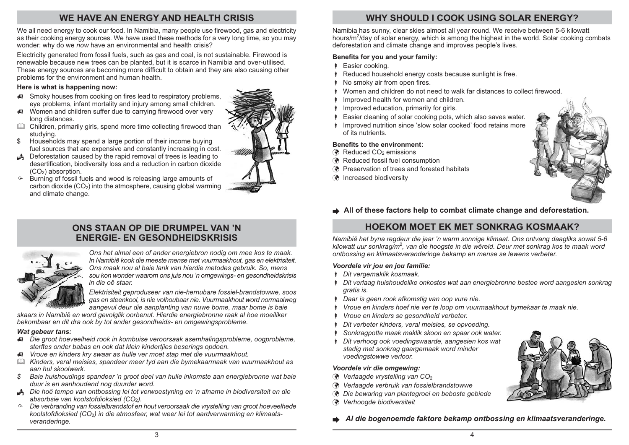# WE HAVE AN ENERGY AND HEALTH CRISIS

We all need energy to cook our food. In Namibia, many people use firewood, gas and electricity as their cooking energy sources. We have used these methods for a very long time, so you may wonder: why do we now have an environmental and health crisis?

Electricity generated from fossil fuels, such as gas and coal, is not sustainable. Firewood is renewable because new trees can be planted, but it is scarce in Namibia and over-utilised. These energy sources are becoming more difficult to obtain and they are also causing other problems for the environment and human health.

#### Here is what is happening now:

- Smoky houses from cooking on fires lead to respiratory problems, eye problems, infant mortality and injury among small children.
- Women and children suffer due to carrying firewood over very long distances.
- Children, primarily girls, spend more time collecting firewood than studvina.
- Households may spend a large portion of their income buying \$ fuel sources that are expensive and constantly increasing in cost.
- ▲ Deforestation caused by the rapid removal of trees is leading to desertification, biodiversity loss and a reduction in carbon dioxide  $(CO<sub>2</sub>)$  absorption.
- Burning of fossil fuels and wood is releasing large amounts of  $\circ$ carbon dioxide  $(CO_2)$  into the atmosphere, causing global warming and climate change.

# ONS STAAN OP DIE DRUMPEL VAN 'N **ENERGIE- EN GESONDHEIDSKRISIS**



Ons het almal een of ander energiebron nodig om mee kos te maak. In Namibië kook die meeste mense met vuurmaakhout, gas en elektrisiteit. Ons maak nou al baie lank van hierdie metodes gebruik. So, mens sou kon wonder waarom ons juis nou 'n omgewings- en gesondheidskrisis

Elektrisiteit geproduseer van nie-hernubare fossiel-brandstowwe, soos gas en steenkool, is nie volhoubaar nie. Vuurmaakhout word normaalweg aangevul deur die aanplanting van nuwe bome, maar bome is baie

skaars in Namibië en word gevolglik oorbenut. Hierdie energiebronne raak al hoe moeiliker bekombaar en dit dra ook by tot ander gesondheids- en omgewingsprobleme.

#### Wat gebeur tans:

- Die groot hoeveelheid rook in kombuise veroorsaak asemhalingsprobleme, oogprobleme, sterftes onder babas en ook dat klein kindertijes beserings opdoen.
- #744443 Vroue en kinders kry swaar as hulle ver moet stap met die vuurmaakhout.
- Ell Kinders, veral meisies, spandeer meer tyd aan die bymekaarmaak van vuurmaakhout as aan hul skoolwerk
- \$ Baie huishoudings spandeer 'n groot deel van hulle inkomste aan energiebronne wat baie duur is en aanhoudend nog duurder word.
- ▲ Die hoë tempo van ontbossing lei tot verwoestyning en 'n afname in biodiversiteit en die absorbsie van koolstofdioksied (CO<sub>2</sub>).
- ⊕ Die verbranding van fossielbrandstof en hout veroorsaak die vrystelling van groot hoeveelhede koolstofdioksied (CO<sub>2</sub>) in die atmosfeer, wat weer lei tot aardverwarming en klimaatsveranderinge.

# **WHY SHOULD I COOK USING SOLAR ENERGY?**

Namibia has sunny, clear skies almost all year round. We receive between 5-6 kilowatt hours/ $m^2$ /day of solar energy, which is among the highest in the world. Solar cooking combats deforestation and climate change and improves people's lives.

#### Benefits for you and your family:

- Fasier cooking.
- Reduced household energy costs because sunlight is free.
- No smoky air from open fires.
- \* Women and children do not need to walk far distances to collect firewood.
- Improved health for women and children
- Improved education, primarily for girls.
- Easier cleaning of solar cooking pots, which also saves water.
- Improved nutrition since 'slow solar cooked' food retains more of its nutrients

#### **Benefits to the environment:**

- ← Reduced CO<sub>2</sub> emissions
- ® Reduced fossil fuel consumption
- ◆ Preservation of trees and forested habitats
- ncreased biodiversity



All of these factors help to combat climate change and deforestation.

# **HOFKOM MOFT FK MFT SONKRAG KOSMAAK?**

Namibië het byna regdeur die jaar 'n warm sonnige klimaat. Ons ontvang daagliks sowat 5-6 kilowatt uur sonkraa/m<sup>2</sup>, van die hoogste in die wêreld. Deur met sonkrag kos te maak word ontbossing en klimaatsveranderinge bekamp en mense se lewens verbeter.

#### Voordele vir jou en jou familie:

- Dit vergemaklik kosmaak.
- Dit verlaag huishoudelike onkostes wat aan energiebronne bestee word aangesien sonkrag aratis is.
- Daar is geen rook afkomstig van oop vure nie.
- Vroue en kinders hoef nie ver te loop om vuurmaakhout bymekaar te maak nie.
- Vroue en kinders se gesondheid verbeter.
- Dit verbeter kinders, veral meisies, se opvoeding.
- Sonkragpotte maak maklik skoon en spaar ook water.
- Dit verhoog ook voedingswaarde, aangesien kos wat stadig met sonkrag gaargemaak word minder voedingstowwe verloor.

#### Voordele vir die omaewina:

- $\bullet$  Verlaagde vrystelling van CO<sub>2</sub>
- Verlaagde verbruik van fossielbrandstowwe ◈
- Die bewaring van plantegroei en beboste gebiede
- Verhoogde biodiversiteit ۵



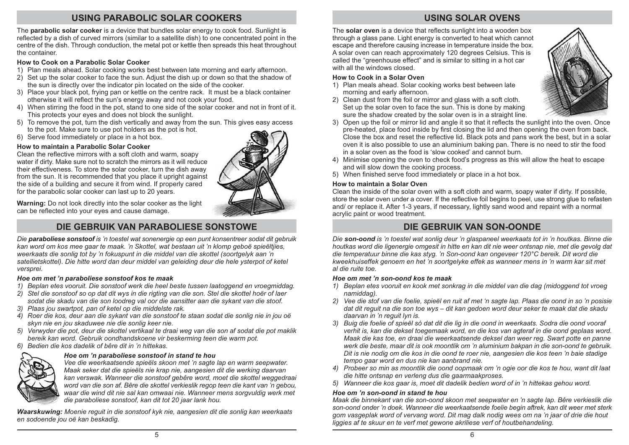# **USING PARABOLIC SOLAR COOKERS**

The parabolic solar cooker is a device that bundles solar energy to cook food. Sunlight is reflected by a dish of curved mirrors (similar to a satellite dish) to one concentrated point in the centre of the dish. Through conduction, the metal pot or kettle then spreads this heat throughout the container.

#### How to Cook on a Parabolic Solar Cooker

- 1) Plan meals ahead. Solar cooking works best between late morning and early afternoon.
- 2) Set up the solar cooker to face the sun. Adjust the dish up or down so that the shadow of the sun is directly over the indicator pin located on the side of the cooker.
- 3) Place your black pot, frying pan or kettle on the centre rack. It must be a black container otherwise it will reflect the sun's energy away and not cook your food.
- 4) When stirring the food in the pot, stand to one side of the solar cooker and not in front of it. This protects your eyes and does not block the sunlight.
- 5) To remove the pot, turn the dish vertically and away from the sun. This gives easy access to the pot. Make sure to use pot holders as the pot is hot.
- 6) Serve food immediately or place in a hot box.

## How to maintain a Parabolic Solar Cooker

Clean the reflective mirrors with a soft cloth and warm, soapy water if dirty. Make sure not to scratch the mirrors as it will reduce their effectiveness. To store the solar cooker, turn the dish away from the sun. It is recommended that you place it upright against the side of a building and secure it from wind. If properly cared for the parabolic solar cooker can last up to 20 years.



Warning: Do not look directly into the solar cooker as the light can be reflected into your eyes and cause damage.

# DIE GEBRUIK VAN PARABOLIESE SONSTOWE

Die paraboliese sonstoof is 'n toestel wat sonenergie op een punt konsentreer sodat dit gebruik kan word om kos mee gaar te maak. 'n Skottel, wat bestaan uit 'n klomp geboë spieëltijes. weerkaats die sonlig tot by 'n fokuspunt in die middel van die skottel (soortgelyk aan 'n satellietskottel). Die hitte word dan deur middel van geleiding deur die hele ysterpot of ketel versprei.

## Hoe om met 'n paraboliese sonstoof kos te maak

- 1) Beplan etes vooruit. Die sonstoof werk die heel beste tussen laatoggend en vroegmiddag.
- 2) Stel die sonstoof so op dat dit wys in die rigting van die son. Stel die skottel hoër of laer
- sodat die skadu van die son loodreg val oor die aansitter aan die sykant van die stoof. 3) Plaas jou swartpot, pan of ketel op die middelste rak.
- 
- 4) Roer die kos, deur aan die sykant van die sonstoof te staan sodat die sonlig nie in jou oë skyn nie en jou skaduwee nie die sonlig keer nie.
- 5) Verwyder die pot, deur die skottel vertikaal te draai weg van die son af sodat die pot maklik bereik kan word. Gebruik oondhandskoene vir beskerming teen die warm pot.
- 6) Bedien die kos dadelik of bêre dit in 'n hittekas.



## Hoe om 'n paraboliese sonstoof in stand te hou

Vee die weerkaatsende spieëls skoon met 'n sagte lap en warm seepwater. Maak seker dat die spieëls nie krap nie, aangesien dit die werking daarvan kan verswak. Wanneer die sonstoof gebêre word, moet die skottel weggedraai word van die son af. Bêre die skottel verkieslik regop teen die kant van 'n gebou. waar die wind dit nie sal kan omwaai nie. Wanneer mens sorgvuldig werk met die paraboliese sonstoof, kan dit tot 20 jaar lank hou.

Waarskuwing: Moenie reguit in die sonstoof kyk nie, aangesien dit die sonlig kan weerkaats en sodoende jou oë kan beskadig.

# **USING SOLAR OVENS**

The solar oven is a device that reflects sunlight into a wooden box through a glass pane. Light energy is converted to heat which cannot escape and therefore causing increase in temperature inside the box. A solar oven can reach approximately 120 degrees Celsius. This is called the "greenhouse effect" and is similar to sitting in a hot car with all the windows closed.

## How to Cook in a Solar Oven

- 1) Plan meals ahead. Solar cooking works best between late morning and early afternoon.
- 2) Clean dust from the foil or mirror and glass with a soft cloth. Set up the solar oven to face the sun. This is done by making sure the shadow created by the solar oven is in a straight line.



- 3) Open up the foil or mirror lid and angle it so that it reflects the sunlight into the oven. Once pre-heated, place food inside by first closing the lid and then opening the oven from back. Close the box and reset the reflective lid. Black pots and pans work the best, but in a solar oven it is also possible to use an aluminium baking pan. There is no need to stir the food in a solar oven as the food is 'slow cooked' and cannot burn.
- 4) Minimise opening the oven to check food's progress as this will allow the heat to escape and will slow down the cooking process.
- 5) When finished serve food immediately or place in a hot box.

#### How to maintain a Solar Oven

Clean the inside of the solar oven with a soft cloth and warm, soapy water if dirty. If possible, store the solar oven under a cover. If the reflective foil begins to peel, use strong glue to refasten and/ or replace it. After 1-3 years, if necessary, lightly sand wood and repaint with a normal acrylic paint or wood treatment.

# DIE GEBRUIK VAN SON-OONDE

Die son-oond is 'n toestel wat sonlig deur 'n glaspaneel weerkaats tot in 'n houtkas. Binne die houtkas word die ligenergie omgesit in hitte en kan dit nie weer ontsnap nie, met die gevolg dat die temperatuur binne die kas styg. 'n Son-oond kan ongeveer 120°C bereik. Dit word die kweekhuiseffek genoem en het 'n soortgelyke effek as wanneer mens in 'n warm kar sit met al die ruite toe

#### Hoe om met 'n son-oond kos te maak

- 1) Beplan etes vooruit en kook met sonkrag in die middel van die dag (midoggend tot vroeg namiddag).
- 2) Vee die stof van die foelie, spieël en ruit af met 'n sagte lap. Plaas die oond in so 'n posisie dat dit requit na die son toe wys - dit kan gedoen word deur seker te maak dat die skadu daarvan in 'n requit lyn is.
- 3) Buig die foelie of spieël só dat dit die lig in die oond in weerkaats. Sodra die oond vooraf verhit is, kan die deksel toegemaak word, en die kos van agteraf in die oond geplaas word. Maak die kas toe, en draai die weerkaatsende deksel dan weer reg. Swart potte en panne werk die beste, maar dit is ook moontlik om 'n aluminium bakpan in die son-oond te gebruik. Dit is nie nodig om die kos in die oond te roer nie, aangesien die kos teen 'n baie stadige tempo gaar word en dus nie kan aanbrand nie.
- 4) Probeer so min as moontlik die oond oopmaak om 'n ogie oor die kos te hou, want dit laat die hitte ontsnap en verleng dus die gaarmaakproses.
- 5) Wanneer die kos gaar is, moet dit dadelik bedien word of in 'n hittekas gehou word.

#### Hoe om 'n son-oond in stand te hou

Maak die binnekant van die son-oond skoon met seepwater en 'n sagte lap. Bêre verkieslik die son-oond onder 'n doek. Wanneer die weerkaatsende foelie begin aftrek, kan dit weer met sterk gom vasgeplak word of vervang word. Dit mag dalk nodig wees om na 'n jaar of drie die hout liggies af te skuur en te verf met gewone akriliese verf of houtbehandeling.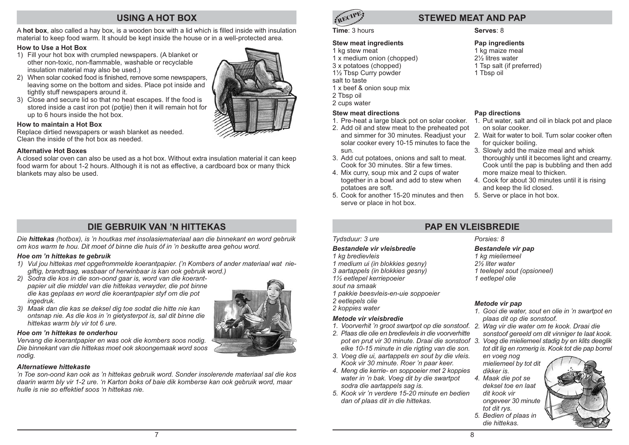# **USING A HOT BOX**

A hot box, also called a hay box, is a wooden box with a lid which is filled inside with insulation material to keep food warm. It should be kept inside the house or in a well-protected area.

#### How to Use a Hot Box

- 1) Fill your hot box with crumpled newspapers. (A blanket or other non-toxic, non-flammable, washable or recyclable insulation material may also be used.)
- 2) When solar cooked food is finished, remove some newspapers. leaving some on the bottom and sides. Place pot inside and tightly stuff newspapers around it.
- 3) Close and secure lid so that no heat escapes. If the food is stored inside a cast iron pot (potjie) then it will remain hot for up to 6 hours inside the hot box.

#### How to maintain a Hot Box

Replace dirtied newspapers or wash blanket as needed. Clean the inside of the hot box as needed

#### **Alternative Hot Boxes**

A closed solar oven can also be used as a hot box. Without extra insulation material it can keep food warm for about 1-2 hours. Although it is not as effective, a cardboard box or many thick blankets may also be used.

# DIF GEBRUIK VAN 'N HITTEKAS

Die hittekas (hotbox), is 'n houtkas met insolasiemateriaal aan die binnekant en word gebruik om kos warm te hou. Dit moet óf binne die huis óf in 'n beskutte area gehou word.

#### Hoe om 'n hittekas te gebruik

- 1) Vul jou hittekas met opgefrommelde koerantpapier. ('n Kombers of ander materiaal wat niegiftig, brandtraag, wasbaar of herwinbaar is kan ook gebruik word.)
- 2) Sodra die kos in die son-oond gaar is, word van die koerantpapier uit die middel van die hittekas verwyder, die pot binne die kas geplaas en word die koerantpapier styf om die pot ingedruk.
- 3) Maak dan die kas se deksel dig toe sodat die hitte nie kan ontsnap nie. As die kos in 'n gietysterpot is, sal dit binne die hittekas warm bly vir tot 6 ure.

#### Hoe om 'n hittekas te onderhou

Vervang die koerantpapier en was ook die kombers soos nodig. Die binnekant van die hittekas moet ook skoongemaak word soos nodia.

## Alternatiewe hittekaste

'n Toe son-oond kan ook as 'n hittekas gebruik word. Sonder insolerende materiaal sal die kos daarin warm bly vir 1-2 ure. 'n Karton boks of baie dik komberse kan ook gebruik word, maar hulle is nie so effektief soos 'n hittekas nie.



# **STEWED MEAT AND PAP**

#### Time: 3 hours

#### **Stew meat ingredients**

- 1 kg stew meat
- 1 x medium onion (chopped)
- 3 x potatoes (chopped) 11/2 Tbsp Curry powder
- salt to taste
- 1 x beef & onion soup mix
- 
- 2 Tbsp oil 2 cups water

## **Stew meat directions**

- 1. Pre-heat a large black pot on solar cooker.
- 2. Add oil and stew meat to the preheated pot and simmer for 30 minutes. Readjust your solar cooker every 10-15 minutes to face the sun.
- 3. Add cut potatoes, onions and salt to meat. Cook for 30 minutes. Stir a few times.
- 4. Mix curry, soup mix and 2 cups of water together in a bowl and add to stew when potatoes are soft.
- 5. Cook for another 15-20 minutes and then serve or place in hot box.

#### Serves: 8

#### Pap ingredients

1 kg maize meal 21/<sub>2</sub> litres water 1 Tsp salt (if preferred) 1 Tbsp oil

#### Pap directions

- 1. Put water, salt and oil in black pot and place on solar cooker
- 2. Wait for water to boil. Turn solar cooker often for auicker boiling.
- 3. Slowly add the maize meal and whisk thoroughly until it becomes light and creamy. Cook until the pap is bubbling and then add more maize meal to thicken.
- 4. Cook for about 30 minutes until it is rising and keep the lid closed.
- 5. Serve or place in hot box.

## Tydsduur: 3 ure

#### Bestandele vir vleisbredie

1 kg bredievleis

- 1 medium ui (in blokkies gesny)
- 3 aartappels (in blokkies gesny)
- 11/<sub>2</sub> eetlepel kerriepoeier
- sout na smaak
- 1 pakkie beesvleis-en-uie soppoeier
- 2 eetlepels olie
	- 2 koppies water

#### Metode vir vleisbredie

- 1. Voorverhit 'n groot swartpot op die sonstoof. 2. Wag vir die water om te kook. Draai die
- 2. Plaas die olie en bredievleis in die voorverhitte pot en prut vir 30 minute. Draai die sonstoof 3. Voeg die mieliemeel stadig by en klits deeglik elke 10-15 minute in die rigting van die son.
- 3. Voeg die ui, aartappels en sout by die vleis. Kook vir 30 minute. Roer 'n paar keer.
- 4. Mena die kerrie- en soppoeier met 2 koppies water in 'n bak. Voeg dit by die swartpot sodra die aartappels sag is.
- 5 Kook vir 'n verdere 15-20 minute en hedien dan of plaas dit in die hittekas.

## $Porsies: 8$

**PAP FN VI FISBREDIE** 

## **Bestandele vir pap**

1 kg mieliemeel 2% liter water 1 teelepel sout (opsioneel) 1 eetlenel olie

#### Metode vir pap

- 1. Gooi die water, sout en olie in 'n swartpot en plaas dit op die sonstoof.
- sonstoof gereeld om dit vinniger te laat kook.
- tot dit lig en romerig is. Kook tot die pap borrel

en voeg nog mieliemeel by tot dit dikker is.

4. Maak die pot se deksel toe en laat dit kook vir ongeveer 30 minute tot dit rys. 5. Bedien of plaas in die hittekas.





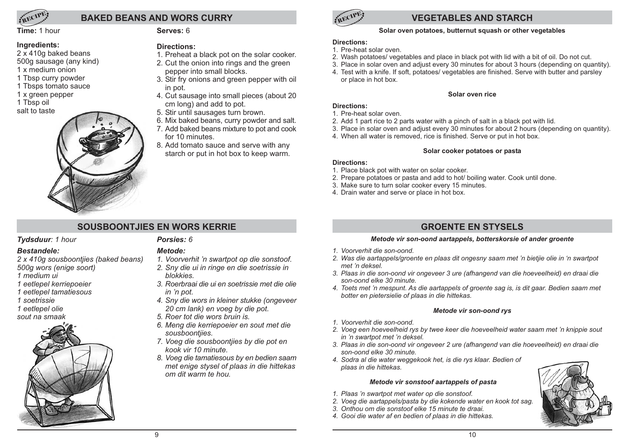

# **BAKED BEANS AND WORS CURRY**

Time: 1 hour

## Ingredients:

- 2 x 410q baked beans
- 500g sausage (any kind)  $1 \times \text{medium}$  onion
- 1 Tbsp curry powder
- 1 Tbsps tomato sauce
- 1 x green pepper
- 1 Tbsp oil
- salt to taste



## Serves: 6

## Directions:

- 1. Preheat a black pot on the solar cooker. 2. Cut the onion into rings and the green
- pepper into small blocks.
- 3. Stir fry onions and green pepper with oil in pot.
- 4. Cut sausage into small pieces (about 20 cm long) and add to pot.
- 5. Stir until sausages turn brown.
- 6. Mix baked beans, curry powder and salt.
- 7. Add baked beans mixture to pot and cook for 10 minutes.
- 8. Add tomato sauce and serve with any starch or put in hot box to keep warm.

# **VEGETABLES AND STARCH**

# Solar oven potatoes, butternut squash or other vegetables

## **Directions:**

- 1. Pre-heat solar oven.
- 2. Wash potatoes/vegetables and place in black pot with lid with a bit of oil. Do not cut.
- 3. Place in solar oven and adjust every 30 minutes for about 3 hours (depending on quantity).

Solar oven rice

4. Test with a knife. If soft, potatoes/vegetables are finished. Serve with butter and parsley or place in hot box.

- **Directions:**
- 1. Pre-heat solar oven.
- 2. Add 1 part rice to 2 parts water with a pinch of salt in a black pot with lid.
- 3. Place in solar oven and adjust every 30 minutes for about 2 hours (depending on quantity).
- 4. When all water is removed, rice is finished. Serve or put in hot box.

# Solar cooker potatoes or pasta

## **Directions:**

- 1. Place black pot with water on solar cooker.
- 2. Prepare potatoes or pasta and add to hot/ boiling water. Cook until done.
- 3. Make sure to turn solar cooker every 15 minutes.
- 4. Drain water and serve or place in hot box.

# SOUSBOONTJIES EN WORS KERRIE

# Tydsduur: 1 hour

## **Bestandele:**

- 2 x 410g sousboontjies (baked beans) 500a wors (enige soort)
- $1$  medium  $\overline{u}$
- 1 eetlepel kerriepoeier
- 1 eetlenel tamatiesous
- 1 soetrissie
- 1 eetlepel olie

sout na smaak



# Porsies: 6

# Metode:

- 1. Voorverhit 'n swartpot op die sonstoof. 2. Sny die ui in ringe en die soetrissie in
- **blokkies** 3. Roerbraai die ui en soetrissie met die olie
- in 'n pot.
- 4. Sny die wors in kleiner stukke (ongeveer 20 cm lank) en voeg by die pot.
- 5. Roer tot die wors bruin is.
- 6. Meng die kerriepoeier en sout met die sousboontijes.
- 7. Voeg die sousboontijes by die pot en kook vir 10 minute.
- 8. Voeg die tamatiesous by en bedien saam met enige stysel of plaas in die hittekas om dit warm te hou

# **GROENTE EN STYSELS**

# Metode vir son-oond aartappels, botterskorsie of ander groente

- 1 Voorverhit die son-oond
- 2. Was die aartappels/groente en plaas dit ongesny saam met 'n bietjie olie in 'n swartpot met 'n deksel.
- 3. Plaas in die son-oond vir ongeveer 3 ure (afhangend van die hoeveelheid) en draai die son-oond elke 30 minute.
- 4. Toets met 'n mespunt. As die aartappels of groente sag is, is dit gaar. Bedien saam met botter en pietersielie of plaas in die hittekas.

## Metode vir son-oond rys

- 1. Voorverhit die son-oond.
- 2. Voeg een hoeveelheid rys by twee keer die hoeveelheid water saam met 'n knippie sout in 'n swartpot met 'n deksel.
- 3. Plaas in die son-oond vir ongeveer 2 ure (afhangend van die hoeveelheid) en draai die son-oond elke 30 minute.
- 4. Sodra al die water weggekook het, is die rys klaar. Bedien of plaas in die hittekas.

## Metode vir sonstoof aartappels of pasta

- 1. Plaas 'n swartpot met water op die sonstoof.
- 2. Voeg die aartappels/pasta by die kokende water en kook tot sag.
- 3. Onthou om die sonstoof elke 15 minute te draai.
- 4. Gooi die water af en bedien of plaas in die hittekas.

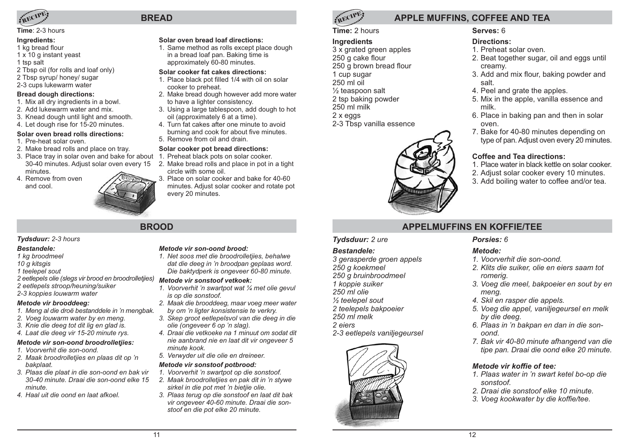

## Time: 2-3 hours

#### Inaredients:

- 1 kg bread flour
- 1 x 10 g instant yeast
- 1 tsp salt
- 2 Tbsp oil (for rolls and loaf only)
- 2 Tbsp syrup/ honey/ sugar
- 2-3 cups lukewarm water

#### **Bread dough directions:**

- 1. Mix all dry ingredients in a bowl.
- 2. Add lukewarm water and mix.
- 3. Knead dough until light and smooth.
- 4. Let dough rise for 15-20 minutes.

## Solar oven bread rolls directions:

- 1 Pre-heat solar oven
- 2. Make bread rolls and place on tray.
- 3. Place trav in solar oven and bake for about 1. Preheat black pots on solar cooker. 30-40 minutes. Adjust solar oven every 15 2. Make bread rolls and place in pot in a tight minutes.
- 4 Remove from oven and cool



# **BROOD**

**BREAD** 

## Tydsduur: 2-3 hours

#### **Restandele:**

- 1 kg broodmeel
- 10 a kitsais
- 1 teelenel sout
- 2 eetlepels olie (slegs vir brood en broodrolletjies)
- 2 eetlepels stroop/heuning/suiker 2-3 koppies louwarm water

# Metode vir brooddeea:

- 
- 1. Meng al die droë bestanddele in 'n mengbak. 2. Voeg louwarm water by en meng.
- 3. Knie die deeg tot dit lig en glad is.
- 4. Laat die deeg vir 15-20 minute rys.

# Metode vir son-oond broodrolletijes:

- 1. Voorverhit die son-oond.
- 2. Maak broodrolletjies en plaas dit op 'n bakplaat.
- 3. Plaas die plaat in die son-oond en bak vir 30-40 minute. Draai die son-oond elke 15  $min$
- 4 Haal uit die oond en laat afkoel

## Metode vir son-oond brood:

Solar oven bread loaf directions:

approximately 60-80 minutes.

to have a lighter consistency.

oil (approximately 6 at a time).

Solar cooker pot bread directions:

5. Remove from oil and drain.

circle with some oil.

every 20 minutes.

cooker to preheat.

Solar cooker fat cakes directions:

in a bread loaf pan. Baking time is

1. Same method as rolls except place dough

1. Place black pot filled 1/4 with oil on solar

2. Make bread dough however add more water

3. Using a large tablespoon, add dough to hot

burning and cook for about five minutes.

3. Place on solar cooker and bake for 40-60

minutes. Adiust solar cooker and rotate pot

4. Turn fat cakes after one minute to avoid

1. Net soos met die broodrolletijes, behalwe dat die deeg in 'n broodpan geplaas word. Die baktydperk is ongeveer 60-80 minute.

# Metode vir sonstoof vetkoek:

- 1. Voorverhit 'n swartpot wat 1/4 met olie gevul is op die sonstoof.
- 2. Maak die brooddeeg, maar voeg meer water by om 'n ligter konsistensie te verkry.
- 3. Skep groot eetlepelsvol van die deeg in die olie (ongeveer 6 op 'n slag).
- 4. Draaj die vetkoeke na 1 minuut om sodat dit nie aanbrand nie en laat dit vir ongeveer 5 minute kook.
- 5. Verwyder uit die olie en dreineer.

# Metode vir sonstoof potbrood:

- 1. Voorverhit 'n swartpot op die sonstoof.
- 2. Maak broodrolletjies en pak dit in 'n stywe sirkel in die pot met 'n bietjie olie.
- 3. Plaas terug op die sonstoof en laat dit bak vir ongeveer 40-60 minute. Draaj die sonstoof en die pot elke 20 minute.



# **APPLE MUFFINS, COFFEE AND TEA**

# Time: 2 hours

## **Ingredients**

3 x grated green apples 250 g cake flour 250 a brown bread flour 1 cup sugar  $250$  ml  $\overline{oil}$  $\frac{1}{2}$  teaspoon salt 2 tsp baking powder  $250$  ml milk  $2 \times$  eggs 2-3 Tbsp vanilla essence



# Serves: 6

# **Directions:**

- 1. Preheat solar oven
- 2. Beat together sugar, oil and eggs until creamv.
- 3. Add and mix flour, baking powder and salt
- 4. Peel and grate the apples.
- 5. Mix in the apple, vanilla essence and milk
- 6. Place in baking pan and then in solar oven
- 7. Bake for 40-80 minutes depending on type of pan. Adjust oven every 20 minutes.

# Coffee and Tea directions:

- 1. Place water in black kettle on solar cooker.
- 2. Adjust solar cooker every 10 minutes.
- 3. Add boiling water to coffee and/or tea.

# **APPFI MUFFINS FN KOFFIF/TFF**

# Tydsduur: 2 ure

# **Bestandele:**

3 gerasperde groen appels 250 a koekmeel 250 g bruinbroodmeel 1 koppie suiker 250 ml olie  $\frac{1}{2}$  teelepel sout 2 teelepels bakpoeier  $250 \text{ mi}$  melk

# 2 ejers

2-3 eetlepels vaniljegeursel



# Porsies: 6

# Metode:

- 1. Voorverhit die son-oond.
- 2. Klits die suiker, olie en eiers saam tot romerig.
- 3. Voeg die meel, bakpoeier en sout by en mena.
- 4. Skil en rasper die appels.
- 5. Voeg die appel, vaniljegeursel en melk by die deea.
- 6. Plaas in 'n bakpan en dan in die sonoond.
- 7. Bak vir 40-80 minute afhangend van die tipe pan. Draai die oond elke 20 minute.

# Metode vir koffie of tee:

- 1. Plaas water in 'n swart ketel bo-op die sonstoof.
- 2. Draaj die sonstoof elke 10 minute
- 3. Voeg kookwater by die koffie/tee.